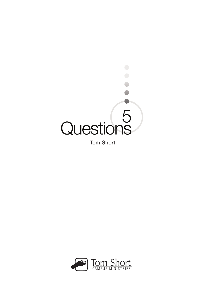

Tom Short

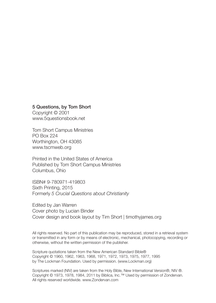#### 5 Questions, by Tom Short

Copyright © 2001 www.5questionsbook.net

Tom Short Campus Ministries PO Box 224 Worthington, OH 43085 www.tscmweb.org

Printed in the United States of America Published by Tom Short Campus Ministries Columbus, Ohio

ISBN# 9-780971-419803 Sixth Printing, 2015 Formerly *5 Crucial Questions about Christianity*

Edited by Jan Warren Cover photo by Lucian Binder Cover design and book layout by Tim Short | timothyjames.org

All rights reserved. No part of this publication may be reproduced, stored in a retrieval system or transmitted in any form or by means of electronic, mechanical, photocopying, recording or otherwise, without the written permission of the publisher.

Scripture quotations taken from the New American Standard Bible® Copyright © 1960, 1962, 1963, 1968, 1971, 1972, 1973, 1975, 1977, 1995 by The Lockman Foundation. Used by permission. (www.Lockman.org)

Scriptures marked (NIV) are taken from the Holy Bible, New International Version®, NIV ®. Copyright © 1973, 1978, 1984, 2011 by Biblica, Inc.™ Used by permission of Zondervan. All rights reserved worldwide. www.Zondervan.com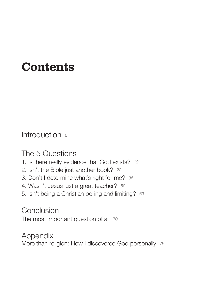# **Contents**

Introduction  $6$ 

## The 5 Questions

- 1. Is there really evidence that God exists? <sup>12</sup>
- 2. Isn't the Bible just another book? <sup>22</sup>
- 3. Don't I determine what's right for me? <sup>36</sup>
- 4. Wasn't Jesus just a great teacher? <sup>50</sup>
- 5. Isn't being a Christian boring and limiting? 63

### Conclusion

The most important question of all 70

#### Appendix

More than religion: How I discovered God personally 76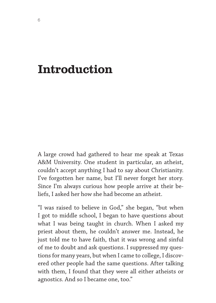# Introduction

A large crowd had gathered to hear me speak at Texas A&M University. One student in particular, an atheist, couldn't accept anything I had to say about Christianity. I've forgotten her name, but I'll never forget her story. Since I'm always curious how people arrive at their beliefs, I asked her how she had become an atheist.

"I was raised to believe in God," she began, "but when I got to middle school, I began to have questions about what I was being taught in church. When I asked my priest about them, he couldn't answer me. Instead, he just told me to have faith, that it was wrong and sinful of me to doubt and ask questions. I suppressed my questions for many years, but when I came to college, I discovered other people had the same questions. After talking with them, I found that they were all either atheists or agnostics. And so I became one, too."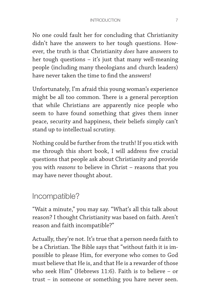#### Introduction 7

No one could fault her for concluding that Christianity didn't have the answers to her tough questions. However, the truth is that Christianity *does* have answers to her tough questions – it's just that many well-meaning people (including many theologians and church leaders) have never taken the time to find the answers!

Unfortunately, I'm afraid this young woman's experience might be all too common. There is a general perception that while Christians are apparently nice people who seem to have found something that gives them inner peace, security and happiness, their beliefs simply can't stand up to intellectual scrutiny.

Nothing could be further from the truth! If you stick with me through this short book, I will address five crucial questions that people ask about Christianity and provide you with *reasons* to believe in Christ – reasons that you may have never thought about.

### Incompatible?

"Wait a minute," you may say. "What's all this talk about reason? I thought Christianity was based on faith. Aren't reason and faith incompatible?"

Actually, they're not. It's true that a person needs faith to be a Christian. The Bible says that "without faith it is impossible to please Him, for everyone who comes to God must believe that He is, and that He is a rewarder of those who seek Him" (Hebrews 11:6). Faith is to believe – or trust – in someone or something you have never seen.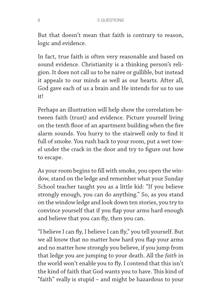But that doesn't mean that faith is contrary to reason, logic and evidence.

In fact, true faith is often very reasonable and based on sound evidence. Christianity is a thinking person's religion. It does not call us to be naïve or gullible, but instead it appeals to our minds as well as our hearts. After all, God gave each of us a brain and He intends for us to use it!

Perhaps an illustration will help show the correlation between faith (trust) and evidence. Picture yourself living on the tenth floor of an apartment building when the fire alarm sounds. You hurry to the stairwell only to find it full of smoke. You rush back to your room, put a wet towel under the crack in the door and try to figure out how to escape.

As your room begins to fill with smoke, you open the window, stand on the ledge and remember what your Sunday School teacher taught you as a little kid: "If you believe strongly enough, you can do anything." So, as you stand on the window ledge and look down ten stories, you try to convince yourself that if you flap your arms hard enough and believe that you can fly, then you can.

"I believe I can fly, I believe I can fly," you tell yourself. But we all know that no matter how hard you flap your arms and no matter how strongly you believe, if you jump from that ledge you are jumping to your death. All the *faith* in the world won't enable you to fly. I contend that this isn't the kind of faith that God wants you to have. This kind of "faith" really is stupid – and might be hazardous to your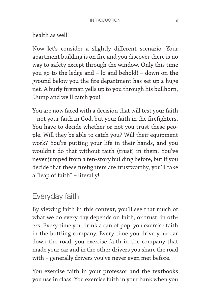#### health as well!

Now let's consider a slightly different scenario. Your apartment building is on fire and you discover there is no way to safety except through the window. Only this time you go to the ledge and – lo and behold! – down on the ground below you the fire department has set up a huge net. A burly fireman yells up to you through his bullhorn, "Jump and we'll catch you!"

You are now faced with a decision that will test your faith – not your faith in God, but your faith in the firefighters. You have to decide whether or not you trust these people. Will they be able to catch you? Will their equipment work? You're putting your life in their hands, and you wouldn't do that without faith (trust) in them. You've never jumped from a ten-story building before, but if you decide that these firefighters are trustworthy, you'll take a "leap of faith" – literally!

## Everyday faith

By viewing faith in this context, you'll see that much of what we do every day depends on faith, or trust, in others. Every time you drink a can of pop, you exercise faith in the bottling company. Every time you drive your car down the road, you exercise faith in the company that made your car and in the other drivers you share the road with – generally drivers you've never even met before.

You exercise faith in your professor and the textbooks you use in class. You exercise faith in your bank when you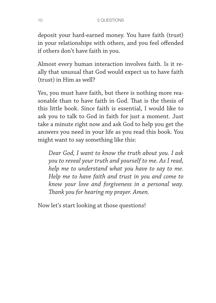deposit your hard-earned money. You have faith (trust) in your relationships with others, and you feel offended if others don't have faith in you.

Almost every human interaction involves faith. Is it really that unusual that God would expect us to have faith (trust) in Him as well?

Yes, you must have faith, but there is nothing more reasonable than to have faith in God. That is the thesis of this little book. Since faith is essential, I would like to ask you to talk to God in faith for just a moment. Just take a minute right now and ask God to help you get the answers you need in your life as you read this book. You might want to say something like this:

*Dear God, I want to know the truth about you. I ask you to reveal your truth and yourself to me. As I read, help me to understand what you have to say to me. Help me to have faith and trust in you and come to know your love and forgiveness in a personal way. Thank you for hearing my prayer. Amen.*

Now let's start looking at those questions!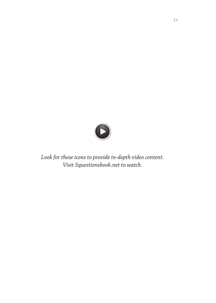

*Look for these icons to provide in-depth video content. Visit 5questionsbook.net to watch.*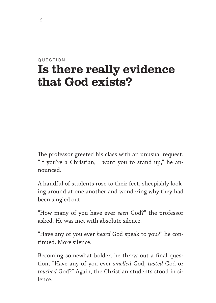## QUESTION 1 Is there really evidence that God exists?

The professor greeted his class with an unusual request. "If you're a Christian, I want you to stand up," he announced.

A handful of students rose to their feet, sheepishly looking around at one another and wondering why they had been singled out.

"How many of you have ever *seen* God?" the professor asked. He was met with absolute silence.

"Have any of you ever *heard* God speak to you?" he continued. More silence.

Becoming somewhat bolder, he threw out a final question, "Have any of you ever *smelled* God, *tasted* God or *touched* God?" Again, the Christian students stood in silence.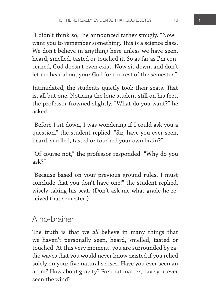"I didn't think so," he announced rather smugly. "Now I want you to remember something. This is a science class. We don't believe in anything here unless we have seen, heard, smelled, tasted or touched it. So as far as I'm concerned, God doesn't even exist. Now sit down, and don't let me hear about your God for the rest of the semester."

Intimidated, the students quietly took their seats. That is, all but one. Noticing the lone student still on his feet, the professor frowned slightly. "What do you want?" he asked.

"Before I sit down, I was wondering if I could ask you a question," the student replied. "Sir, have you ever seen, heard, smelled, tasted or touched your own brain?"

"Of course not," the professor responded. "Why do you ask?"

"Because based on your previous ground rules, I must conclude that you don't have one!" the student replied, wisely taking his seat. (Don't ask me what grade he received that semester!)

#### A no-brainer

The truth is that we *all* believe in many things that we haven't personally seen, heard, smelled, tasted or touched. At this very moment, you are surrounded by radio waves that you would never know existed if you relied solely on your five natural senses. Have you ever seen an atom? How about gravity? For that matter, have you ever seen the wind?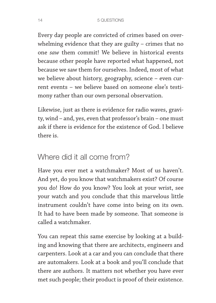Every day people are convicted of crimes based on overwhelming evidence that they are guilty – crimes that no one *saw* them commit! We believe in historical events because other people have reported what happened, not because we saw them for ourselves. Indeed, most of what we believe about history, geography, science – even current events – we believe based on someone else's testimony rather than our own personal observation.

Likewise, just as there is evidence for radio waves, gravity, wind – and, yes, even that professor's brain – one must ask if there is evidence for the existence of God. I believe there is.

### Where did it all come from?

Have you ever met a watchmaker? Most of us haven't. And yet, do you know that watchmakers exist? Of course you do! How do you know? You look at your wrist, see your watch and you conclude that this marvelous little instrument couldn't have come into being on its own. It had to have been made by someone. That someone is called a watchmaker.

You can repeat this same exercise by looking at a building and knowing that there are architects, engineers and carpenters. Look at a car and you can conclude that there are automakers. Look at a book and you'll conclude that there are authors. It matters not whether you have ever met such people; their product is proof of their existence.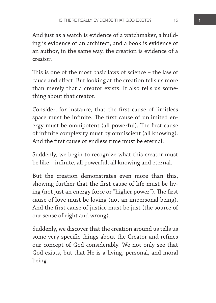And just as a watch is evidence of a watchmaker, a building is evidence of an architect, and a book is evidence of an author, in the same way, the creation is evidence of a creator.

This is one of the most basic laws of science – the law of cause and effect. But looking at the creation tells us more than merely that a creator exists. It also tells us something about that creator.

Consider, for instance, that the first cause of limitless space must be infinite. The first cause of unlimited energy must be omnipotent (all powerful). The first cause of infinite complexity must by omniscient (all knowing). And the first cause of endless time must be eternal.

Suddenly, we begin to recognize what this creator must be like – infinite, all powerful, all knowing and eternal.

But the creation demonstrates even more than this, showing further that the first cause of life must be living (not just an energy force or "higher power"). The first cause of love must be loving (not an impersonal being). And the first cause of justice must be just (the source of our sense of right and wrong).

Suddenly, we discover that the creation around us tells us some very specific things about the Creator and refines our concept of God considerably. We not only see that God exists, but that He is a living, personal, and moral being.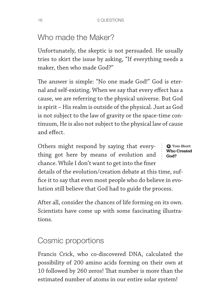## Who made the Maker?

Unfortunately, the skeptic is not persuaded. He usually tries to skirt the issue by asking, "If everything needs a maker, then who made God?"

The answer is simple: "No one made God!" God is eternal and self-existing. When we say that every effect has a cause, we are referring to the physical universe. But God is spirit – His realm is outside of the physical. Just as God is not subject to the law of gravity or the space-time continuum, He is also not subject to the physical law of cause and effect.

Others might respond by saying that everything got here by means of evolution and chance. While I don't want to get into the finer

 Tom Short: Who Created God?

details of the evolution/creation debate at this time, suffice it to say that even most people who do believe in evolution still believe that God had to guide the process.

After all, consider the chances of life forming on its own. Scientists have come up with some fascinating illustrations.

## Cosmic proportions

Francis Crick, who co-discovered DNA, calculated the possibility of 200 amino acids forming on their own at 10 followed by 260 zeros! That number is more than the estimated number of atoms in our entire solar system!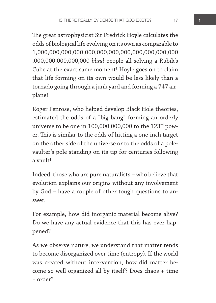The great astrophysicist Sir Fredrick Hoyle calculates the odds of biological life evolving on its own as comparable to 1,000,000,000,000,000,000,000,000,000,000,000,000 ,000,000,000,000,000 *blind* people all solving a Rubik's Cube at the exact same moment! Hoyle goes on to claim that life forming on its own would be less likely than a tornado going through a junk yard and forming a 747 airplane!

Roger Penrose, who helped develop Black Hole theories, estimated the odds of a "big bang" forming an orderly universe to be one in  $100,000,000,000$  to the  $123<sup>rd</sup>$  power. This is similar to the odds of hitting a one-inch target on the other side of the universe or to the odds of a polevaulter's pole standing on its tip for centuries following a vault!

Indeed, those who are pure naturalists – who believe that evolution explains our origins without any involvement by God – have a couple of other tough questions to answer.

For example, how did inorganic material become alive? Do we have any actual evidence that this has ever happened?

As we observe nature, we understand that matter tends to become disorganized over time (entropy). If the world was created without intervention, how did matter become so well organized all by itself? Does chaos + time = order?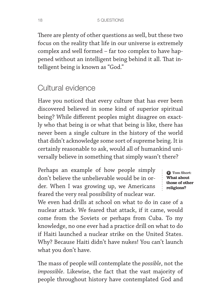There are plenty of other questions as well, but these two focus on the reality that life in our universe is extremely complex and well formed – far too complex to have happened without an intelligent being behind it all. That intelligent being is known as "God."

#### Cultural evidence

Have you noticed that every culture that has ever been discovered believed in some kind of superior spiritual being? While different peoples might disagree on exactly who that being is or what that being is like, there has never been a single culture in the history of the world that didn't acknowledge some sort of supreme being. It is certainly reasonable to ask, would all of humankind universally believe in something that simply wasn't there?

Perhaps an example of how people simply don't believe the unbelievable would be in order. When I was growing up, we Americans feared the very real possibility of nuclear war.

**O**. Tom Short: What about those of other religions?

We even had drills at school on what to do in case of a nuclear attack. We feared that attack, if it came, would come from the Soviets or perhaps from Cuba. To my knowledge, no one ever had a practice drill on what to do if Haiti launched a nuclear strike on the United States. Why? Because Haiti didn't have nukes! You can't launch what you don't have.

The mass of people will contemplate the *possible*, not the *impossible*. Likewise, the fact that the vast majority of people throughout history have contemplated God and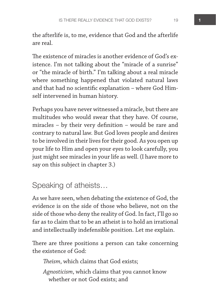the afterlife is, to me, evidence that God and the afterlife are real.

The existence of miracles is another evidence of God's existence. I'm not talking about the "miracle of a sunrise" or "the miracle of birth." I'm talking about a real miracle where something happened that violated natural laws and that had no scientific explanation – where God Himself intervened in human history.

Perhaps you have never witnessed a miracle, but there are multitudes who would swear that they have. Of course, miracles – by their very definition – would be rare and contrary to natural law. But God loves people and desires to be involved in their lives for their good. As you open up your life to Him and open your eyes to look carefully, you just might see miracles in your life as well. (I have more to say on this subject in chapter 3.)

### Speaking of atheists…

As we have seen, when debating the existence of God, the evidence is on the side of those who believe, not on the side of those who deny the reality of God. In fact, I'll go so far as to claim that to be an atheist is to hold an irrational and intellectually indefensible position. Let me explain.

There are three positions a person can take concerning the existence of God:

*Theism*, which claims that God exists;

*Agnosticism*, which claims that you cannot know whether or not God exists; and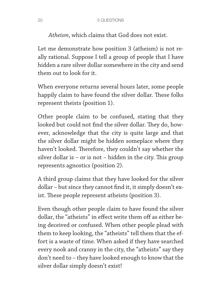*Atheism*, which claims that God does not exist.

Let me demonstrate how position 3 (atheism) is not really rational. Suppose I tell a group of people that I have hidden a rare silver dollar somewhere in the city and send them out to look for it.

When everyone returns several hours later, some people happily claim to have found the silver dollar. These folks represent theists (position 1).

Other people claim to be confused, stating that they looked but could not find the silver dollar. They do, however, acknowledge that the city is quite large and that the silver dollar might be hidden someplace where they haven't looked. Therefore, they couldn't say whether the silver dollar is – or is not – hidden in the city. This group represents agnostics (position 2).

A third group claims that they have looked for the silver dollar – but since they cannot find it, it simply doesn't exist. These people represent atheists (position 3).

Even though other people claim to have found the silver dollar, the "atheists" in effect write them off as either being deceived or confused. When other people plead with them to keep looking, the "atheists" tell them that the effort is a waste of time. When asked if they have searched every nook and cranny in the city, the "atheists" say they don't need to – they have looked enough to know that the silver dollar simply doesn't exist!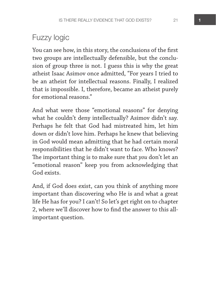## Fuzzy logic

You can see how, in this story, the conclusions of the first two groups are intellectually defensible, but the conclusion of group three is not. I guess this is why the great atheist Isaac Asimov once admitted, "For years I tried to be an atheist for intellectual reasons. Finally, I realized that is impossible. I, therefore, became an atheist purely for emotional reasons."

And what were those "emotional reasons" for denying what he couldn't deny intellectually? Asimov didn't say. Perhaps he felt that God had mistreated him, let him down or didn't love him. Perhaps he knew that believing in God would mean admitting that he had certain moral responsibilities that he didn't want to face. Who knows? The important thing is to make sure that *you* don't let an "emotional reason" keep you from acknowledging that God exists.

And, if God does exist, can you think of anything more important than discovering who He is and what a great life He has for you? I can't! So let's get right on to chapter 2, where we'll discover how to find the answer to this allimportant question.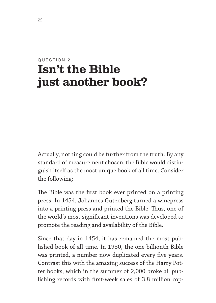## QUESTION 2 Isn't the Bible just another book?

Actually, nothing could be further from the truth. By any standard of measurement chosen, the Bible would distinguish itself as the most unique book of all time. Consider the following:

The Bible was the first book ever printed on a printing press. In 1454, Johannes Gutenberg turned a winepress into a printing press and printed the Bible. Thus, one of the world's most significant inventions was developed to promote the reading and availability of the Bible.

Since that day in 1454, it has remained the most published book of all time. In 1930, the one billionth Bible was printed, a number now duplicated every five years. Contrast this with the amazing success of the Harry Potter books, which in the summer of 2,000 broke all publishing records with first-week sales of 3.8 million cop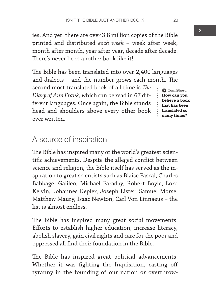ies. And yet, there are over 3.8 million copies of the Bible printed and distributed *each week* – week after week, month after month, year after year, decade after decade. There's never been another book like it!

The Bible has been translated into over 2,400 languages and dialects – and the number grows each month. The

second most translated book of all time is *The Diary of Ann Frank*, which can be read in 67 different languages. Once again, the Bible stands head and shoulders above every other book ever written.

**O** Tom Short: How can you believe a book that has been translated so many times?

## A source of inspiration

The Bible has inspired many of the world's greatest scientific achievements. Despite the alleged conflict between science and religion, the Bible itself has served as the inspiration to great scientists such as Blaise Pascal, Charles Babbage, Galileo, Michael Faraday, Robert Boyle, Lord Kelvin, Johannes Kepler, Joseph Lister, Samuel Morse, Matthew Maury, Isaac Newton, Carl Von Linnaeus – the list is almost endless.

The Bible has inspired many great social movements. Efforts to establish higher education, increase literacy, abolish slavery, gain civil rights and care for the poor and oppressed all find their foundation in the Bible.

The Bible has inspired great political advancements. Whether it was fighting the Inquisition, casting off tyranny in the founding of our nation or overthrow**2**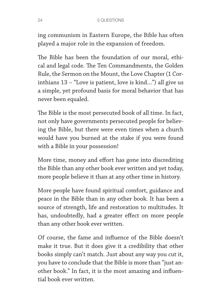ing communism in Eastern Europe, the Bible has often played a major role in the expansion of freedom.

The Bible has been the foundation of our moral, ethical and legal code. The Ten Commandments, the Golden Rule, the Sermon on the Mount, the Love Chapter (1 Corinthians 13 – "Love is patient, love is kind…") all give us a simple, yet profound basis for moral behavior that has never been equaled.

The Bible is the most persecuted book of all time. In fact, not only have governments persecuted people for believing the Bible, but there were even times when a church would have you burned at the stake if you were found with a Bible in your possession!

More time, money and effort has gone into discrediting the Bible than any other book ever written and yet today, more people believe it than at any other time in history.

More people have found spiritual comfort, guidance and peace in the Bible than in any other book. It has been a source of strength, life and restoration to multitudes. It has, undoubtedly, had a greater effect on more people than any other book ever written.

Of course, the fame and influence of the Bible doesn't make it true. But it does give it a credibility that other books simply can't match. Just about any way you cut it, you have to conclude that the Bible is more than "just another book." In fact, it is the most amazing and influential book ever written.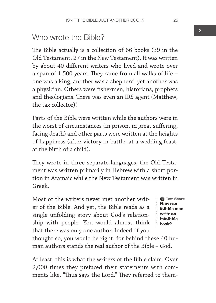#### Who wrote the Bible?

The Bible actually is a collection of 66 books (39 in the Old Testament, 27 in the New Testament). It was written by about 40 different writers who lived and wrote over a span of 1,500 years. They came from all walks of life – one was a king, another was a shepherd, yet another was a physician. Others were fishermen, historians, prophets and theologians. There was even an IRS agent (Matthew, the tax collector)!

Parts of the Bible were written while the authors were in the worst of circumstances (in prison, in great suffering, facing death) and other parts were written at the heights of happiness (after victory in battle, at a wedding feast, at the birth of a child).

They wrote in three separate languages; the Old Testament was written primarily in Hebrew with a short portion in Aramaic while the New Testament was written in Greek.

Most of the writers never met another writer of the Bible. And yet, the Bible reads as a single unfolding story about God's relationship with people. You would almost think that there was only one author. Indeed, if you

 Tom Short: How can fallible men write an infallible book?

thought so, you would be right, for behind these 40 human authors stands the real author of the Bible – God.

At least, this is what the writers of the Bible claim. Over 2,000 times they prefaced their statements with comments like, "Thus says the Lord." They referred to them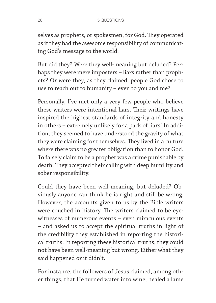selves as prophets, or spokesmen, for God. They operated as if they had the awesome responsibility of communicating God's message to the world.

But did they? Were they well-meaning but deluded? Perhaps they were mere imposters – liars rather than prophets? Or were they, as they claimed, people God chose to use to reach out to humanity – even to you and me?

Personally, I've met only a very few people who believe these writers were intentional liars. Their writings have inspired the highest standards of integrity and honesty in others – extremely unlikely for a pack of liars! In addition, they seemed to have understood the gravity of what they were claiming for themselves. They lived in a culture where there was no greater obligation than to honor God. To falsely claim to be a prophet was a crime punishable by death. They accepted their calling with deep humility and sober responsibility.

Could they have been well-meaning, but deluded? Obviously anyone can think he is right and still be wrong. However, the accounts given to us by the Bible writers were couched in history. The writers claimed to be eyewitnesses of numerous events – even miraculous events – and asked us to accept the spiritual truths in light of the credibility they established in reporting the historical truths. In reporting these historical truths, they could not have been well-meaning but wrong. Either what they said happened or it didn't.

For instance, the followers of Jesus claimed, among other things, that He turned water into wine, healed a lame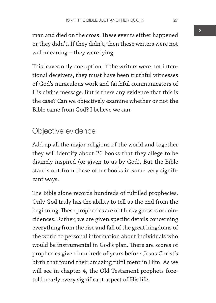man and died on the cross. These events either happened or they didn't. If they didn't, then these writers were not well-meaning – they were lying.

This leaves only one option: if the writers were not intentional deceivers, they must have been truthful witnesses of God's miraculous work and faithful communicators of His divine message. But is there any evidence that this is the case? Can we objectively examine whether or not the Bible came from God? I believe we can.

## Objective evidence

Add up all the major religions of the world and together they will identify about 26 books that they allege to be divinely inspired (or given to us by God). But the Bible stands out from these other books in some very significant ways.

The Bible alone records hundreds of fulfilled prophecies. Only God truly has the ability to tell us the end from the beginning. These prophecies are not lucky guesses or coincidences. Rather, we are given specific details concerning everything from the rise and fall of the great kingdoms of the world to personal information about individuals who would be instrumental in God's plan. There are scores of prophecies given hundreds of years before Jesus Christ's birth that found their amazing fulfillment in Him. As we will see in chapter 4, the Old Testament prophets foretold nearly every significant aspect of His life.

**2**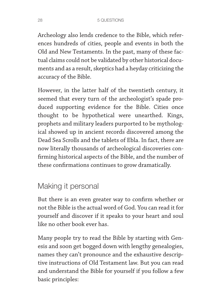Archeology also lends credence to the Bible, which references hundreds of cities, people and events in both the Old and New Testaments. In the past, many of these factual claims could not be validated by other historical documents and as a result, skeptics had a heyday criticizing the accuracy of the Bible.

However, in the latter half of the twentieth century, it seemed that every turn of the archeologist's spade produced supporting evidence for the Bible. Cities once thought to be hypothetical were unearthed. Kings, prophets and military leaders purported to be mythological showed up in ancient records discovered among the Dead Sea Scrolls and the tablets of Ebla. In fact, there are now literally thousands of archeological discoveries confirming historical aspects of the Bible, and the number of these confirmations continues to grow dramatically.

## Making it personal

But there is an even greater way to confirm whether or not the Bible is the actual word of God. You can read it for yourself and discover if it speaks to your heart and soul like no other book ever has.

Many people try to read the Bible by starting with Genesis and soon get bogged down with lengthy genealogies, names they can't pronounce and the exhaustive descriptive instructions of Old Testament law. But you can read and understand the Bible for yourself if you follow a few basic principles: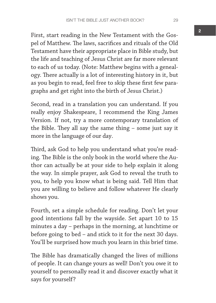First, start reading in the New Testament with the Gospel of Matthew. The laws, sacrifices and rituals of the Old Testament have their appropriate place in Bible study, but the life and teaching of Jesus Christ are far more relevant to each of us today. (Note: Matthew begins with a genealogy. There actually is a lot of interesting history in it, but as you begin to read, feel free to skip these first few paragraphs and get right into the birth of Jesus Christ.)

Second, read in a translation you can understand. If you really enjoy Shakespeare, I recommend the King James Version. If not, try a more contemporary translation of the Bible. They all say the same thing – some just say it more in the language of our day.

Third, ask God to help you understand what you're reading. The Bible is the only book in the world where the Author can actually be at your side to help explain it along the way. In simple prayer, ask God to reveal the truth to you, to help you know what is being said. Tell Him that you are willing to believe and follow whatever He clearly shows you.

Fourth, set a simple schedule for reading. Don't let your good intentions fall by the wayside. Set apart 10 to 15 minutes a day – perhaps in the morning, at lunchtime or before going to bed – and stick to it for the next 30 days. You'll be surprised how much you learn in this brief time.

The Bible has dramatically changed the lives of millions of people. It can change yours as well! Don't you owe it to yourself to personally read it and discover exactly what it says for yourself?

**2**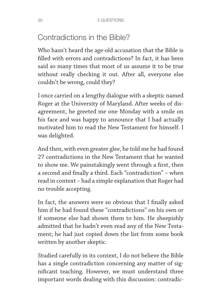## Contradictions in the Bible?

Who hasn't heard the age-old accusation that the Bible is filled with errors and contradictions? In fact, it has been said so many times that most of us assume it to be true without really checking it out. After all, everyone else couldn't be wrong, could they?

I once carried on a lengthy dialogue with a skeptic named Roger at the University of Maryland. After weeks of disagreement, he greeted me one Monday with a smile on his face and was happy to announce that I had actually motivated him to read the New Testament for himself. I was delighted.

And then, with even greater glee, he told me he had found 27 contradictions in the New Testament that he wanted to show me. We painstakingly went through a first, then a second and finally a third. Each "contradiction" – when read in context – had a simple explanation that Roger had no trouble accepting.

In fact, the answers were so obvious that I finally asked him if he had found these "contradictions" on his own or if someone else had shown them to him. He sheepishly admitted that he hadn't even read any of the New Testament; he had just copied down the list from some book written by another skeptic.

Studied carefully in its context, I do not believe the Bible has a single contradiction concerning any matter of significant teaching. However, we must understand three important words dealing with this discussion: contradic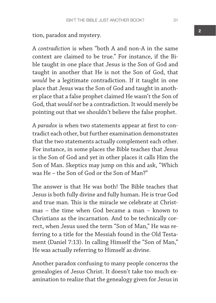tion, paradox and mystery.

A *contradiction* is when "both A and non-A in the same context are claimed to be true." For instance, if the Bible taught in one place that Jesus is the Son of God and taught in another that He is not the Son of God, that *would* be a legitimate contradiction. If it taught in one place that Jesus was the Son of God and taught in another place that a false prophet claimed He wasn't the Son of God, that *would not* be a contradiction. It would merely be pointing out that we shouldn't believe the false prophet.

A *paradox* is when two statements appear at first to contradict each other, but further examination demonstrates that the two statements actually complement each other. For instance, in some places the Bible teaches that Jesus is the Son of God and yet in other places it calls Him the Son of Man. Skeptics may jump on this and ask, "Which was He – the Son of God or the Son of Man?"

The answer is that He was both! The Bible teaches that Jesus is both fully divine and fully human. He is true God and true man. This is the miracle we celebrate at Christmas – the time when God became a man – known to Christians as the incarnation. And to be technically correct, when Jesus used the term "Son of Man," He was referring to a title for the Messiah found in the Old Testament (Daniel 7:13). In calling Himself the "Son of Man," He was actually referring to Himself as divine.

Another paradox confusing to many people concerns the genealogies of Jesus Christ. It doesn't take too much examination to realize that the genealogy given for Jesus in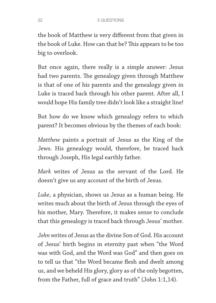the book of Matthew is very different from that given in the book of Luke. How can that be? This appears to be too big to overlook.

But once again, there really is a simple answer: Jesus had two parents. The genealogy given through Matthew is that of one of his parents and the genealogy given in Luke is traced back through his other parent. After all, I would hope His family tree didn't look like a straight line!

But how do we know which genealogy refers to which parent? It becomes obvious by the themes of each book:

*Matthew* paints a portrait of Jesus as the King of the Jews. His genealogy would, therefore, be traced back through Joseph, His legal earthly father.

*Mark* writes of Jesus as the servant of the Lord. He doesn't give us any account of the birth of Jesus.

*Luke*, a physician, shows us Jesus as a human being. He writes much about the birth of Jesus through the eyes of his mother, Mary. Therefore, it makes sense to conclude that this genealogy is traced back through Jesus' mother.

*John* writes of Jesus as the divine Son of God. His account of Jesus' birth begins in eternity past when "the Word was with God, and the Word was God" and then goes on to tell us that "the Word became flesh and dwelt among us, and we beheld His glory, glory as of the only begotten, from the Father, full of grace and truth" (John 1:1,14).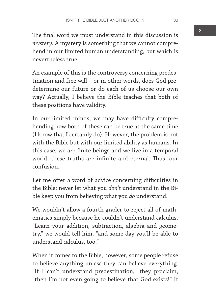The final word we must understand in this discussion is *mystery*. A mystery is something that we cannot comprehend in our limited human understanding, but which is nevertheless true.

An example of this is the controversy concerning predestination and free will – or in other words, does God predetermine our future or do each of us choose our own way? Actually, I believe the Bible teaches that both of these positions have validity.

In our limited minds, we may have difficulty comprehending how both of these can be true at the same time (I know that I certainly do). However, the problem is not with the Bible but with our limited ability as humans. In this case, we are finite beings and we live in a temporal world; these truths are infinite and eternal. Thus, our confusion.

Let me offer a word of advice concerning difficulties in the Bible: never let what you *don't* understand in the Bible keep you from believing what you *do* understand.

We wouldn't allow a fourth grader to reject all of mathematics simply because he couldn't understand calculus. "Learn your addition, subtraction, algebra and geometry," we would tell him, "and some day you'll be able to understand calculus, too."

When it comes to the Bible, however, some people refuse to believe anything unless they can believe everything. "If I can't understand predestination," they proclaim, "then I'm not even going to believe that God exists!" If

**2**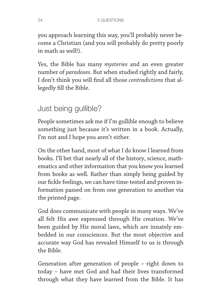you approach learning this way, you'll probably never become a Christian (and you will probably do pretty poorly in math as well!).

Yes, the Bible has many *mysteries* and an even greater number of *paradoxes*. But when studied rightly and fairly, I don't think you will find all those *contradictions* that allegedly fill the Bible.

### Just being gullible?

People sometimes ask me if I'm gullible enough to believe something just because it's written in a book. Actually, I'm not and I hope you aren't either.

On the other hand, most of what I do know I learned from books. I'll bet that nearly all of the history, science, mathematics and other information that you know you learned from books as well. Rather than simply being guided by our fickle feelings, we can have time-tested and proven information passed on from one generation to another via the printed page.

God does communicate with people in many ways. We've all felt His awe expressed through His creation. We've been guided by His moral laws, which are innately embedded in our consciences. But the most objective and accurate way God has revealed Himself to us is through the Bible.

Generation after generation of people – right down to today – have met God and had their lives transformed through what they have learned from the Bible. It has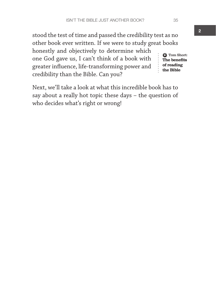stood the test of time and passed the credibility test as no other book ever written. If we were to study great books

honestly and objectively to determine which one God gave us, I can't think of a book with greater influence, life-transforming power and credibility than the Bible. Can you?

**O** Tom Short: The benefits of reading the Bible

Next, we'll take a look at what this incredible book has to say about a really hot topic these days – the question of who decides what's right or wrong!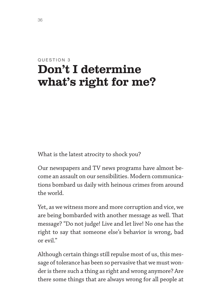## QUESTION 3 Don't I determine what's right for me?

What is the latest atrocity to shock you?

Our newspapers and TV news programs have almost become an assault on our sensibilities. Modern communications bombard us daily with heinous crimes from around the world.

Yet, as we witness more and more corruption and vice, we are being bombarded with another message as well. That message? "Do not judge! Live and let live! No one has the right to say that someone else's behavior is wrong, bad or evil."

Although certain things still repulse most of us, this message of tolerance has been so pervasive that we must wonder is there such a thing as right and wrong anymore? Are there some things that are always wrong for all people at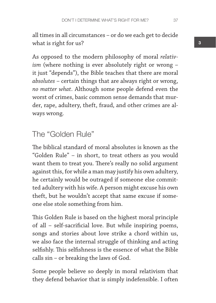all times in all circumstances – or do we each get to decide what is right for us?

As opposed to the modern philosophy of moral *relativism* (where nothing is ever absolutely right or wrong – it just "depends"), the Bible teaches that there are moral *absolutes* – certain things that are always right or wrong, *no matter what*. Although some people defend even the worst of crimes, basic common sense demands that murder, rape, adultery, theft, fraud, and other crimes are always wrong.

## The "Golden Rule"

The biblical standard of moral absolutes is known as the "Golden Rule" – in short, to treat others as you would want them to treat you. There's really no solid argument against this, for while a man may justify his own adultery, he certainly would be outraged if someone else committed adultery with his wife. A person might excuse his own theft, but he wouldn't accept that same excuse if someone else stole something from him.

This Golden Rule is based on the highest moral principle of all – self-sacrificial love. But while inspiring poems, songs and stories about love strike a chord within us, we also face the internal struggle of thinking and acting selfishly. This selfishness is the essence of what the Bible calls sin – or breaking the laws of God.

Some people believe so deeply in moral relativism that they defend behavior that is simply indefensible. I often **3**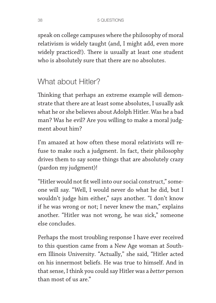speak on college campuses where the philosophy of moral relativism is widely taught (and, I might add, even more widely practiced!). There is usually at least one student who is absolutely sure that there are no absolutes.

### What about Hitler?

Thinking that perhaps an extreme example will demonstrate that there are at least some absolutes, I usually ask what he or she believes about Adolph Hitler. Was he a bad man? Was he evil? Are you willing to make a moral judgment about him?

I'm amazed at how often these moral relativists will refuse to make such a judgment. In fact, their philosophy drives them to say some things that are absolutely crazy (pardon my judgment)!

"Hitler would not fit well into our social construct," someone will say. "Well, I would never do what he did, but I wouldn't judge him either," says another. "I don't know if he was wrong or not; I never knew the man," explains another. "Hitler was not wrong, he was sick," someone else concludes.

Perhaps the most troubling response I have ever received to this question came from a New Age woman at Southern Illinois University. "Actually," she said, "Hitler acted on his innermost beliefs. He was true to himself. And in that sense, I think you could say Hitler was a *better* person than most of us are."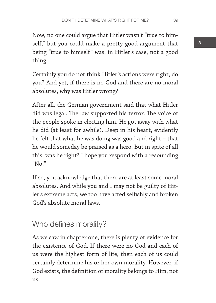Now, no one could argue that Hitler wasn't "true to himself," but you could make a pretty good argument that being "true to himself" was, in Hitler's case, not a good thing.

Certainly you do not think Hitler's actions were right, do you? And yet, if there is no God and there are no moral absolutes, why was Hitler wrong?

After all, the German government said that what Hitler did was legal. The law supported his terror. The voice of the people spoke in electing him. He got away with what he did (at least for awhile). Deep in his heart, evidently he felt that what he was doing was good and right – that he would someday be praised as a hero. But in spite of all this, was he right? I hope you respond with a resounding " $Nol"$ 

If so, you acknowledge that there are at least some moral absolutes. And while you and I may not be guilty of Hitler's extreme acts, we too have acted selfishly and broken God's absolute moral laws.

### Who defines morality?

As we saw in chapter one, there is plenty of evidence for the existence of God. If there were no God and each of us were the highest form of life, then each of us could certainly determine his or her own morality. However, if God exists, the definition of morality belongs to Him, not us.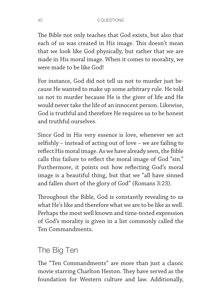The Bible not only teaches that God exists, but also that each of us was created in His image. This doesn't mean that we look like God physically, but rather that we are made in His moral image. When it comes to morality, we were made to be like God!

For instance, God did not tell us not to murder just because He wanted to make up some arbitrary rule. He told us not to murder because He is the giver of life and He would never take the life of an innocent person. Likewise, God is truthful and therefore He requires us to be honest and truthful ourselves.

Since God in His very essence is love, whenever we act selfishly – instead of acting out of love – we are failing to reflect His moral image. As we have already seen, the Bible calls this failure to reflect the moral image of God "sin." Furthermore, it points out how reflecting God's moral image is a beautiful thing, but that we "all have sinned and fallen short of the glory of God" (Romans 3:23).

Throughout the Bible, God is constantly revealing to us what He's like and therefore what we are to be like as well. Perhaps the most well known and time-tested expression of God's morality is given in a list commonly called the Ten Commandments.

### The Big Ten

The "Ten Commandments" are more than just a classic movie starring Charlton Heston. They have served as the foundation for Western culture and law. Additionally,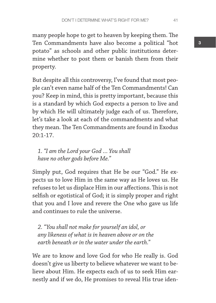many people hope to get to heaven by keeping them. The Ten Commandments have also become a political "hot potato" as schools and other public institutions determine whether to post them or banish them from their property.

But despite all this controversy, I've found that most people can't even name half of the Ten Commandments! Can you? Keep in mind, this is pretty important, because this is a standard by which God expects a person to live and by which He will ultimately judge each of us. Therefore, let's take a look at each of the commandments and what they mean. The Ten Commandments are found in Exodus 20:1-17.

*1. "I am the Lord your God … You shall have no other gods before Me."* 

Simply put, God requires that He be our "God." He expects us to love Him in the same way as He loves us. He refuses to let us displace Him in our affections. This is not selfish or egotistical of God; it is simply proper and right that you and I love and revere the One who gave us life and continues to rule the universe.

*2. "You shall not make for yourself an idol, or any likeness of what is in heaven above or on the earth beneath or in the water under the earth."*

We are to know and love God for who He really is. God doesn't give us liberty to believe whatever we want to believe about Him. He expects each of us to seek Him earnestly and if we do, He promises to reveal His true iden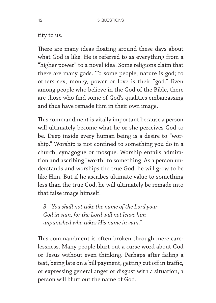tity to us.

There are many ideas floating around these days about what God is like. He is referred to as everything from a "higher power" to a novel idea. Some religions claim that there are many gods. To some people, nature is god; to others sex, money, power or love is their "god." Even among people who believe in the God of the Bible, there are those who find some of God's qualities embarrassing and thus have remade Him in their own image.

This commandment is vitally important because a person will ultimately become what he or she perceives God to be. Deep inside every human being is a desire to "worship." Worship is not confined to something you do in a church, synagogue or mosque. Worship entails admiration and ascribing "worth" to something. As a person understands and worships the true God, he will grow to be like Him. But if he ascribes ultimate value to something less than the true God, he will ultimately be remade into that false image himself.

*3. "You shall not take the name of the Lord your God in vain, for the Lord will not leave him unpunished who takes His name in vain."*

This commandment is often broken through mere carelessness. Many people blurt out a curse word about God or Jesus without even thinking. Perhaps after failing a test, being late on a bill payment, getting cut off in traffic, or expressing general anger or disgust with a situation, a person will blurt out the name of God.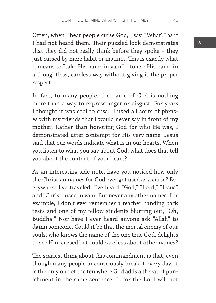Often, when I hear people curse God, I say, "What?" as if I had not heard them. Their puzzled look demonstrates that they did not really think before they spoke – they just cursed by mere habit or instinct. This is exactly what it means to "take His name in vain" – to use His name in a thoughtless, careless way without giving it the proper respect.

In fact, to many people, the name of God is nothing more than a way to express anger or disgust. For years I thought it was cool to cuss. I used all sorts of phrases with my friends that I would never say in front of my mother. Rather than honoring God for who He was, I demonstrated utter contempt for His very name. Jesus said that our words indicate what is in our hearts. When you listen to what you say about God, what does that tell you about the content of your heart?

As an interesting side note, have you noticed how only the Christian names for God ever get used as a curse? Everywhere I've traveled, I've heard "God," "Lord," "Jesus" and "Christ" used in vain. But never any other names. For example, I don't ever remember a teacher handing back tests and one of my fellow students blurting out, "Oh, Buddha!" Nor have I ever heard anyone ask "Allah" to damn someone. Could it be that the mortal enemy of our souls, who knows the name of the one true God, delights to see Him cursed but could care less about other names?

The scariest thing about this commandment is that, even though many people unconsciously break it every day, it is the only one of the ten where God adds a threat of punishment in the same sentence: "…for the Lord will not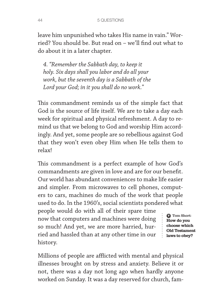leave him unpunished who takes His name in vain." Worried? You should be. But read on – we'll find out what to do about it in a later chapter.

*4. "Remember the Sabbath day, to keep it holy. Six days shall you labor and do all your work, but the seventh day is a Sabbath of the Lord your God; in it you shall do no work."* 

This commandment reminds us of the simple fact that God is the source of life itself. We are to take a day each week for spiritual and physical refreshment. A day to remind us that we belong to God and worship Him accordingly. And yet, some people are so rebellious against God that they won't even obey Him when He tells them to relax!

This commandment is a perfect example of how God's commandments are given in love and are for our benefit. Our world has abundant conveniences to make life easier and simpler. From microwaves to cell phones, computers to cars, machines do much of the work that people used to do. In the 1960's, social scientists pondered what

people would do with all of their spare time now that computers and machines were doing so much! And yet, we are more harried, hurried and hassled than at any other time in our history.

**O** Tom Short: How do you choose which Old Testament laws to obey?

Millions of people are afflicted with mental and physical illnesses brought on by stress and anxiety. Believe it or not, there was a day not long ago when hardly anyone worked on Sunday. It was a day reserved for church, fam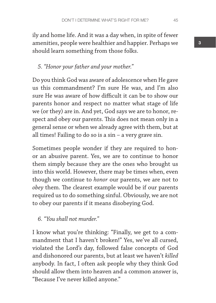ily and home life. And it was a day when, in spite of fewer amenities, people were healthier and happier. Perhaps we should learn something from those folks.

#### *5. "Honor your father and your mother."*

Do you think God was aware of adolescence when He gave us this commandment? I'm sure He was, and I'm also sure He was aware of how difficult it can be to show our parents honor and respect no matter what stage of life we (or they) are in. And yet, God says we are to honor, respect and obey our parents. This does not mean only in a general sense or when we already agree with them, but at all times! Failing to do so is a sin – a very grave sin.

Sometimes people wonder if they are required to honor an abusive parent. Yes, we are to continue to honor them simply because they are the ones who brought us into this world. However, there may be times when, even though we continue to *honor* our parents, we are not to *obey* them. The clearest example would be if our parents required us to do something sinful. Obviously, we are not to obey our parents if it means disobeying God.

#### *6. "You shall not murder."*

I know what you're thinking: "Finally, we get to a commandment that I haven't broken!" Yes, we've all cursed, violated the Lord's day, followed false concepts of God and dishonored our parents, but at least we haven't *killed* anybody. In fact, I often ask people why they think God should allow them into heaven and a common answer is, "Because I've never killed anyone."

**3**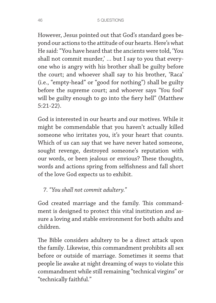However, Jesus pointed out that God's standard goes beyond our actions to the attitude of our hearts. Here's what He said: "You have heard that the ancients were told, 'You shall not commit murder,' … but I say to you that everyone who is angry with his brother shall be guilty before the court; and whoever shall say to his brother, 'Raca' (i.e., "empty-head" or "good for nothing") shall be guilty before the supreme court; and whoever says 'You fool' will be guilty enough to go into the fiery hell" (Matthew 5:21-22).

God is interested in our hearts and our motives. While it might be commendable that you haven't actually killed someone who irritates you, it's your heart that counts. Which of us can say that we have never hated someone, sought revenge, destroyed someone's reputation with our words, or been jealous or envious? These thoughts, words and actions spring from selfishness and fall short of the love God expects us to exhibit.

*7. "You shall not commit adultery."*

God created marriage and the family. This commandment is designed to protect this vital institution and assure a loving and stable environment for both adults and children.

The Bible considers adultery to be a direct attack upon the family. Likewise, this commandment prohibits all sex before or outside of marriage. Sometimes it seems that people lie awake at night dreaming of ways to violate this commandment while still remaining "technical virgins" or "technically faithful."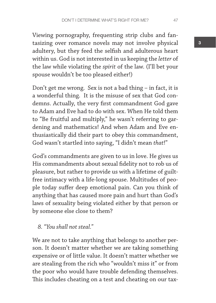Viewing pornography, frequenting strip clubs and fantasizing over romance novels may not involve physical adultery, but they feed the selfish and adulterous heart within us. God is not interested in us keeping the *letter* of the law while violating the *spirit* of the law. (I'll bet your spouse wouldn't be too pleased either!)

Don't get me wrong. Sex is not a bad thing – in fact, it is a wonderful thing. It is the misuse of sex that God condemns. Actually, the very first commandment God gave to Adam and Eve had to do with sex. When He told them to "Be fruitful and multiply," he wasn't referring to gardening and mathematics! And when Adam and Eve enthusiastically did their part to obey this commandment, God wasn't startled into saying, "I didn't mean *that*!"

God's commandments are given to us in love. He gives us His commandments about sexual fidelity not to rob us of pleasure, but rather to provide us with a lifetime of guiltfree intimacy with a life-long spouse. Multitudes of people today suffer deep emotional pain. Can you think of anything that has caused more pain and hurt than God's laws of sexuality being violated either by that person or by someone else close to them?

*8. "You shall not steal."*

We are not to take anything that belongs to another person. It doesn't matter whether we are taking something expensive or of little value. It doesn't matter whether we are stealing from the rich who "wouldn't miss it" or from the poor who would have trouble defending themselves. This includes cheating on a test and cheating on our tax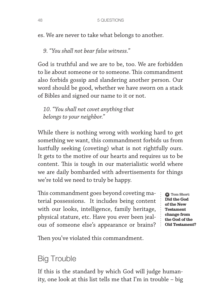es. We are never to take what belongs to another.

#### *9. "You shall not bear false witness."*

God is truthful and we are to be, too. We are forbidden to lie about someone or to someone. This commandment also forbids gossip and slandering another person. Our word should be good, whether we have sworn on a stack of Bibles and signed our name to it or not.

*10. "You shall not covet anything that belongs to your neighbor."*

While there is nothing wrong with working hard to get something we want, this commandment forbids us from lustfully seeking (coveting) what is not rightfully ours. It gets to the motive of our hearts and requires us to be content. This is tough in our materialistic world where we are daily bombarded with advertisements for things we're told we need to truly be happy.

This commandment goes beyond coveting material possessions. It includes being content with our looks, intelligence, family heritage, physical stature, etc. Have you ever been jealous of someone else's appearance or brains?

 Tom Short: Did the God of the New Testament change from the God of the Old Testament?

Then you've violated this commandment.

### Big Trouble

If this is the standard by which God will judge humanity, one look at this list tells me that I'm in trouble – big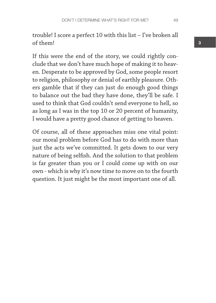trouble! I score a perfect 10 with this list – I've broken all of them!

If this were the end of the story, we could rightly conclude that we don't have much hope of making it to heaven. Desperate to be approved by God, some people resort to religion, philosophy or denial of earthly pleasure. Others gamble that if they can just do enough good things to balance out the bad they have done, they'll be safe. I used to think that God couldn't send everyone to hell, so as long as I was in the top 10 or 20 percent of humanity, I would have a pretty good chance of getting to heaven.

Of course, all of these approaches miss one vital point: our moral problem before God has to do with more than just the acts we've committed. It gets down to our very nature of being selfish. And the solution to that problem is far greater than you or I could come up with on our own - which is why it's now time to move on to the fourth question. It just might be the most important one of all.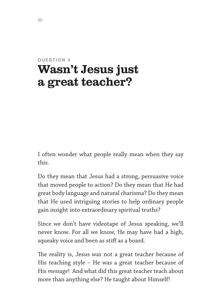# QUESTION 4 Wasn't Jesus just a great teacher?

I often wonder what people really mean when they say this.

Do they mean that Jesus had a strong, persuasive voice that moved people to action? Do they mean that He had great body language and natural charisma? Do they mean that He used intriguing stories to help ordinary people gain insight into extraordinary spiritual truths?

Since we don't have videotape of Jesus speaking, we'll never know. For all we know, He may have had a high, squeaky voice and been as stiff as a board.

The reality is, Jesus was not a great teacher because of His teaching style – He was a great teacher because of His *message*! And what did this great teacher teach about more than anything else? He taught about Himself!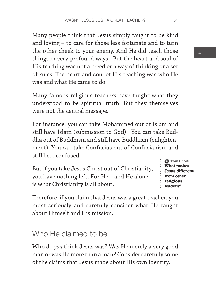Many people think that Jesus simply taught to be kind and loving – to care for those less fortunate and to turn the other cheek to your enemy. And He did teach those things in very profound ways. But the heart and soul of His teaching was not a creed or a way of thinking or a set of rules. The heart and soul of His teaching was who He was and what He came to do.

Many famous religious teachers have taught what they understood to be spiritual truth. But they themselves were not the central message.

For instance, you can take Mohammed out of Islam and still have Islam (submission to God). You can take Buddha out of Buddhism and still have Buddhism (enlightenment). You can take Confucius out of Confucianism and still be… confused!

But if you take Jesus Christ out of Christianity, you have nothing left. For He – and He alone – is what Christianity is all about.

**O** Tom Short: What makes Jesus different from other religious leaders?

Therefore, if you claim that Jesus was a great teacher, you must seriously and carefully consider what He taught about Himself and His mission.

### Who He claimed to be

Who do *you* think Jesus was? Was He merely a very good man or was He more than a man? Consider carefully some of the claims that Jesus made about His own identity.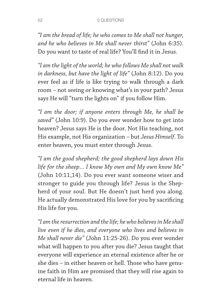*"I am the bread of life; he who comes to Me shall not hunger, and he who believes in Me shall never thirst"* (John 6:35). Do you want to taste of real life? You'll find it in Jesus.

*"I am the light of the world; he who follows Me shall not walk in darkness, but have the light of life"* (John 8:12). Do you ever feel as if life is like trying to walk through a dark room – not seeing or knowing what's in your path? Jesus says He will "turn the lights on" if you follow Him.

*"I am the door; if anyone enters through Me, he shall be saved"* (John 10:9). Do you ever wonder how to get into heaven? Jesus says He is the door. Not His teaching, not His example, not His organization – but *Jesus Himself*. To enter heaven, you must enter through Jesus.

*"I am the good shepherd; the good shepherd lays down His life for the sheep… I know My own and My own know Me"* (John 10:11,14). Do you ever want someone wiser and stronger to guide you through life? Jesus is the Shepherd of your soul. But He doesn't just herd you along. He actually demonstrated His love for you by sacrificing His life for you.

*"I am the resurrection and the life; he who believes in Me shall live even if he dies, and everyone who lives and believes in Me shall never die"* (John 11:25-26). Do you ever wonder what will happen to you after you die? Jesus taught that everyone will experience an eternal existence after he or she dies – in either heaven or hell. Those who have genuine faith in Him are promised that they will rise again to eternal life in heaven.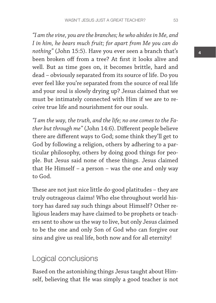*"I am the vine, you are the branches; he who abides in Me, and I in him, he bears much fruit; for apart from Me you can do nothing"* (John 15:5). Have you ever seen a branch that's been broken off from a tree? At first it looks alive and well. But as time goes on, it becomes brittle, hard and dead – obviously separated from its source of life. Do you ever feel like you're separated from the source of real life and your soul is slowly drying up? Jesus claimed that we must be intimately connected with Him if we are to receive true life and nourishment for our souls.

*"I am the way, the truth, and the life; no one comes to the Father but through me"* (John 14:6). Different people believe there are different ways to God; some think they'll get to God by following a religion, others by adhering to a particular philosophy, others by doing good things for people. But Jesus said none of these things. Jesus claimed that He Himself – a person – was the one and only way to God.

These are not just nice little do-good platitudes – they are truly outrageous claims! Who else throughout world history has dared say such things about Himself? Other religious leaders may have claimed to be prophets or teachers sent to show us the way to live, but only Jesus claimed to be the one and only Son of God who can forgive our sins and give us real life, both now and for all eternity!

#### Logical conclusions

Based on the astonishing things Jesus taught about Himself, believing that He was simply a good teacher is not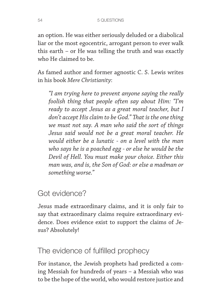an option. He was either seriously deluded or a diabolical liar or the most egocentric, arrogant person to ever walk this earth – or He was telling the truth and was exactly who He claimed to be.

As famed author and former agnostic C. S. Lewis writes in his book *Mere Christianity*:

*"I am trying here to prevent anyone saying the really foolish thing that people often say about Him: "I'm ready to accept Jesus as a great moral teacher, but I don't accept His claim to be God." That is the one thing we must not say. A man who said the sort of things Jesus said would not be a great moral teacher. He would either be a lunatic - on a level with the man who says he is a poached egg - or else he would be the Devil of Hell. You must make your choice. Either this man was, and is, the Son of God: or else a madman or something worse."*

#### Got evidence?

Jesus made extraordinary claims, and it is only fair to say that extraordinary claims require extraordinary evidence. Does evidence exist to support the claims of Jesus? Absolutely!

#### The evidence of fulfilled prophecy

For instance, the Jewish prophets had predicted a coming Messiah for hundreds of years – a Messiah who was to be the hope of the world, who would restore justice and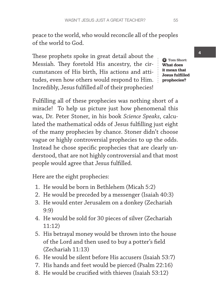peace to the world, who would reconcile all of the peoples of the world to God.

These prophets spoke in great detail about the Messiah. They foretold His ancestry, the circumstances of His birth, His actions and attitudes, even how others would respond to Him. Incredibly, Jesus fulfilled *all* of their prophecies!

**O** Tom Short: What does it mean that Jesus fulfilled prophecies?

**4**

Fulfilling all of these prophecies was nothing short of a miracle! To help us picture just how phenomenal this was, Dr. Peter Stoner, in his book *Science Speaks*, calculated the mathematical odds of Jesus fulfilling just eight of the many prophecies by chance. Stoner didn't choose vague or highly controversial prophecies to up the odds. Instead he chose specific prophecies that are clearly understood, that are not highly controversial and that most people would agree that Jesus fulfilled.

Here are the eight prophecies:

- 1. He would be born in Bethlehem (Micah 5:2)
- 2. He would be preceded by a messenger (Isaiah 40:3)
- 3. He would enter Jerusalem on a donkey (Zechariah 9:9)
- 4. He would be sold for 30 pieces of silver (Zechariah 11:12)
- 5. His betrayal money would be thrown into the house of the Lord and then used to buy a potter's field (Zechariah 11:13)
- 6. He would be silent before His accusers (Isaiah 53:7)
- 7. His hands and feet would be pierced (Psalm 22:16)
- 8. He would be crucified with thieves (Isaiah 53:12)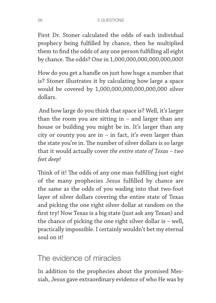First Dr. Stoner calculated the odds of each individual prophecy being fulfilled by chance, then he multiplied them to find the odds of any one person fulfilling all eight by chance. The odds? One in 1,000,000,000,000,000,000!

How do you get a handle on just how huge a number that is? Stoner illustrates it by calculating how large a space would be covered by 1,000,000,000,000,000,000 silver dollars.

 And how large do you think that space is? Well, it's larger than the room you are sitting in – and larger than any house or building you might be in. It's larger than any city or county you are in – in fact, it's even larger than the state you're in. The number of silver dollars is so large that it would actually cover *the entire state of Texas – two feet deep!*

Think of it! The odds of any one man fulfilling just eight of the many prophecies Jesus fulfilled by chance are the same as the odds of you wading into that two-foot layer of silver dollars covering the entire state of Texas and picking the one right silver dollar at random on the first try! Now Texas is a big state (just ask any Texan) and the chance of picking the one right silver dollar is – well, practically impossible. I certainly wouldn't bet my eternal soul on it!

#### The evidence of miracles

In addition to the prophecies about the promised Messiah, Jesus gave extraordinary evidence of who He was by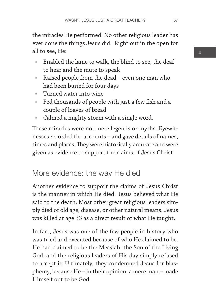the miracles He performed. No other religious leader has ever done the things Jesus did. Right out in the open for all to see, He:

- Enabled the lame to walk, the blind to see, the deaf to hear and the mute to speak
- • Raised people from the dead even one man who had been buried for four days
- • Turned water into wine
- • Fed thousands of people with just a few fish and a couple of loaves of bread
- • Calmed a mighty storm with a single word.

These miracles were not mere legends or myths. Eyewitnesses recorded the accounts – and gave details of names, times and places. They were historically accurate and were given as evidence to support the claims of Jesus Christ.

#### More evidence: the way He died

Another evidence to support the claims of Jesus Christ is the manner in which He died. Jesus believed what He said to the death. Most other great religious leaders simply died of old age, disease, or other natural means. Jesus was killed at age 33 as a direct result of what He taught.

In fact, Jesus was one of the few people in history who was tried and executed because of who He claimed to be. He had claimed to be the Messiah, the Son of the Living God, and the religious leaders of His day simply refused to accept it. Ultimately, they condemned Jesus for blasphemy, because He – in their opinion, a mere man – made Himself out to be God.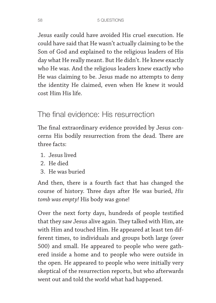Jesus easily could have avoided His cruel execution. He could have said that He wasn't actually claiming to be the Son of God and explained to the religious leaders of His day what He really meant. But He didn't. He knew exactly who He was. And the religious leaders knew exactly who He was claiming to be. Jesus made no attempts to deny the identity He claimed, even when He knew it would cost Him His life.

#### The final evidence: His resurrection

The final extraordinary evidence provided by Jesus concerns His bodily resurrection from the dead. There are three facts:

- 1. Jesus lived
- 2. He died
- 3. He was buried

And then, there is a fourth fact that has changed the course of history. Three days after He was buried, *His tomb was empty!* His body was gone!

Over the next forty days, hundreds of people testified that they saw Jesus alive again. They talked with Him, ate with Him and touched Him. He appeared at least ten different times, to individuals and groups both large (over 500) and small. He appeared to people who were gathered inside a home and to people who were outside in the open. He appeared to people who were initially very skeptical of the resurrection reports, but who afterwards went out and told the world what had happened.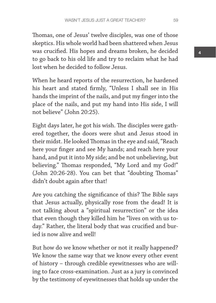Thomas, one of Jesus' twelve disciples, was one of those skeptics. His whole world had been shattered when Jesus was crucified. His hopes and dreams broken, he decided to go back to his old life and try to reclaim what he had lost when he decided to follow Jesus.

When he heard reports of the resurrection, he hardened his heart and stated firmly, "Unless I shall see in His hands the imprint of the nails, and put my finger into the place of the nails, and put my hand into His side, I will not believe" (John 20:25).

Eight days later, he got his wish. The disciples were gathered together, the doors were shut and Jesus stood in their midst. He looked Thomas in the eye and said, "Reach here your finger and see My hands; and reach here your hand, and put it into My side; and be not unbelieving, but believing." Thomas responded, "My Lord and my God!" (John 20:26-28). You can bet that "doubting Thomas" didn't doubt again after that!

Are you catching the significance of this? The Bible says that Jesus actually, physically rose from the dead! It is not talking about a "spiritual resurrection" or the idea that even though they killed him he "lives on with us today." Rather, the literal body that was crucified and buried is now alive and well!

But how do we know whether or not it really happened? We know the same way that we know every other event of history – through credible eyewitnesses who are willing to face cross-examination. Just as a jury is convinced by the testimony of eyewitnesses that holds up under the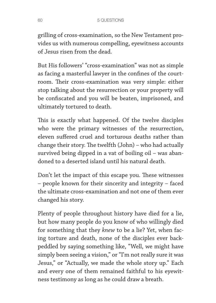grilling of cross-examination, so the New Testament provides us with numerous compelling, eyewitness accounts of Jesus risen from the dead.

But His followers' "cross-examination" was not as simple as facing a masterful lawyer in the confines of the courtroom. Their cross-examination was very simple: either stop talking about the resurrection or your property will be confiscated and you will be beaten, imprisoned, and ultimately tortured to death.

This is exactly what happened. Of the twelve disciples who were the primary witnesses of the resurrection, eleven suffered cruel and torturous deaths rather than change their story. The twelfth (John) – who had actually survived being dipped in a vat of boiling oil – was abandoned to a deserted island until his natural death.

Don't let the impact of this escape you. These witnesses – people known for their sincerity and integrity – faced the ultimate cross-examination and not one of them ever changed his story.

Plenty of people throughout history have died for a lie, but how many people do you know of who willingly died for something that they *knew* to be a lie? Yet, when facing torture and death, none of the disciples ever backpeddled by saying something like, "Well, we might have simply been seeing a vision," or "I'm not really sure it was Jesus," or "Actually, we made the whole story up." Each and every one of them remained faithful to his eyewitness testimony as long as he could draw a breath.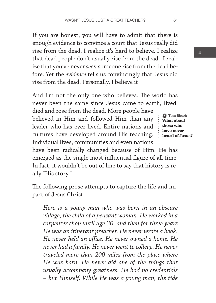If you are honest, you will have to admit that there is enough evidence to convince a court that Jesus really did rise from the dead. I realize it's hard to believe. I realize that dead people don't usually rise from the dead. I realize that you've never *seen* someone rise from the dead before. Yet the *evidence* tells us convincingly that Jesus did rise from the dead. Personally, I believe it!

And I'm not the only one who believes. The world has never been the same since Jesus came to earth, lived, died and rose from the dead. More people have

believed in Him and followed Him than any leader who has ever lived. Entire nations and cultures have developed around His teaching. Individual lives, communities and even nations

**O** Tom Short: What about those who have never heard of Jesus?

have been radically changed because of Him. He has emerged as the single most influential figure of all time. In fact, it wouldn't be out of line to say that history is really "His story."

The following prose attempts to capture the life and impact of Jesus Christ:

*Here is a young man who was born in an obscure village, the child of a peasant woman. He worked in a carpenter shop until age 30, and then for three years He was an itinerant preacher. He never wrote a book. He never held an office. He never owned a home. He never had a family. He never went to college. He never traveled more than 200 miles from the place where He was born. He never did one of the things that usually accompany greatness. He had no credentials – but Himself. While He was a young man, the tide*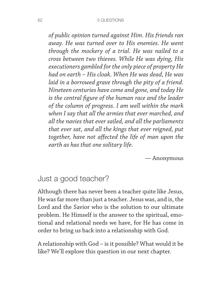*of public opinion turned against Him. His friends ran away. He was turned over to His enemies. He went through the mockery of a trial. He was nailed to a cross between two thieves. While He was dying, His executioners gambled for the only piece of property He had on earth – His cloak. When He was dead, He was laid in a borrowed grave through the pity of a friend. Nineteen centuries have come and gone, and today He is the central figure of the human race and the leader of the column of progress. I am well within the mark when I say that all the armies that ever marched, and all the navies that ever sailed, and all the parliaments that ever sat, and all the kings that ever reigned, put together, have not affected the life of man upon the earth as has that one solitary life.*

— Anonymous

### Just a good teacher?

Although there has never been a teacher quite like Jesus, He was far more than just a teacher. Jesus was, and is, the Lord and the Savior who is the solution to our ultimate problem. He Himself is the answer to the spiritual, emotional and relational needs we have, for He has come in order to bring us back into a relationship with God.

A relationship with God – is it possible? What would it be like? We'll explore this question in our next chapter.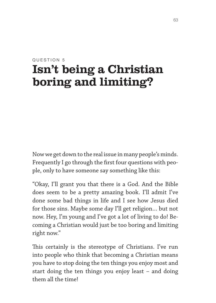# QUESTION 5 Isn't being a Christian boring and limiting?

Now we get down to the real issue in many people's minds. Frequently I go through the first four questions with people, only to have someone say something like this:

"Okay, I'll grant you that there is a God. And the Bible does seem to be a pretty amazing book. I'll admit I've done some bad things in life and I see how Jesus died for those sins. Maybe some day I'll get religion… but not now. Hey, I'm young and I've got a lot of living to do! Becoming a Christian would just be too boring and limiting right now."

This certainly is the stereotype of Christians. I've run into people who think that becoming a Christian means you have to stop doing the ten things you enjoy most and start doing the ten things you enjoy least – and doing them all the time!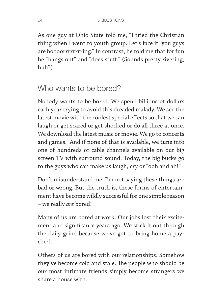As one guy at Ohio State told me, "I tried the Christian thing when I went to youth group. Let's face it, you guys are boooorrrrrrrring." In contrast, he told me that for fun he "hangs out" and "does stuff." (Sounds pretty riveting, huh?)

#### Who wants to be bored?

Nobody wants to be bored. We spend billions of dollars each year trying to avoid this dreaded malady. We see the latest movie with the coolest special effects so that we can laugh or get scared or get shocked or do all three at once. We download the latest music or movie. We go to concerts and games. And if none of that is available, we tune into one of hundreds of cable channels available on our big screen TV with surround sound. Today, the big bucks go to the guys who can make us laugh, cry or "ooh and ah!"

Don't misunderstand me. I'm not saying these things are bad or wrong. But the truth is, these forms of entertainment have become wildly successful for one simple reason – we really *are* bored!

Many of us are bored at work. Our jobs lost their excitement and significance years ago. We stick it out through the daily grind because we've got to bring home a paycheck.

Others of us are bored with our relationships. Somehow they've become cold and stale. The people who should be our most intimate friends simply become strangers we share a house with.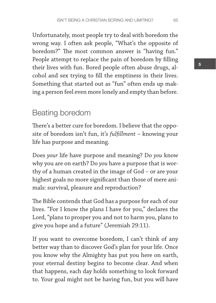Unfortunately, most people try to deal with boredom the wrong way. I often ask people, "What's the opposite of boredom?" The most common answer is "having fun." People attempt to replace the pain of boredom by filling their lives with fun. Bored people often abuse drugs, alcohol and sex trying to fill the emptiness in their lives. Something that started out as "fun" often ends up making a person feel even more lonely and empty than before.

#### Beating boredom

There's a better cure for boredom. I believe that the opposite of boredom isn't fun, it's *fulfillment* – knowing your life has purpose and meaning.

Does *your* life have purpose and meaning? Do *you* know why you are on earth? Do *you* have a purpose that is worthy of a human created in the image of God – or are your highest goals no more significant than those of mere animals: survival, pleasure and reproduction?

The Bible contends that God has a purpose for each of our lives. "For I know the plans I have for you," declares the Lord, "plans to prosper you and not to harm you, plans to give you hope and a future" (Jeremiah 29:11).

If you want to overcome boredom, I can't think of any better way than to discover God's plan for your life. Once you know why the Almighty has put you here on earth, your eternal destiny begins to become clear. And when that happens, each day holds something to look forward to. Your goal might not be having fun, but you will have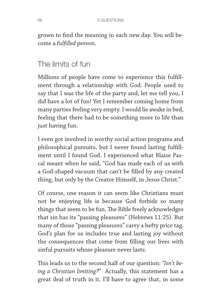grown to find the meaning in each new day. You will become a *fulfilled* person.

#### The limits of fun

Millions of people have come to experience this fulfillment through a relationship with God. People used to say that I was the life of the party and, let me tell you, I did have a lot of fun! Yet I remember coming home from many parties feeling very empty. I would lie awake in bed, feeling that there had to be something more to life than just having fun.

I even got involved in worthy social action programs and philosophical pursuits, but I never found lasting fulfillment until I found God. I experienced what Blaise Pascal meant when he said, "God has made each of us with a God-shaped vacuum that can't be filled by any created thing, but only by the Creator Himself, in Jesus Christ."

Of course, one reason it can seem like Christians must not be enjoying life is because God forbids so many things that seem to be fun. The Bible freely acknowledges that sin has its "passing pleasures" (Hebrews 11:25). But many of those "passing pleasures" carry a hefty price tag. God's plan for us includes true and lasting joy without the consequences that come from filling our lives with sinful pursuits whose pleasure never lasts.

This leads us to the second half of our question: *"Isn't being a Christian limiting?*" Actually, this statement has a great deal of truth in it. I'll have to agree that, in some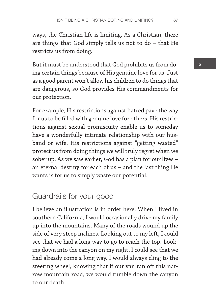ways, the Christian life is limiting. As a Christian, there are things that God simply tells us not to do – that He restricts us from doing.

But it must be understood that God prohibits us from doing certain things because of His genuine love for us. Just as a good parent won't allow his children to do things that are dangerous, so God provides His commandments for our protection.

For example, His restrictions against hatred pave the way for us to be filled with genuine love for others. His restrictions against sexual promiscuity enable us to someday have a wonderfully intimate relationship with our husband or wife. His restrictions against "getting wasted" protect us from doing things we will truly regret when we sober up. As we saw earlier, God has a plan for our lives – an eternal destiny for each of us – and the last thing He wants is for us to simply waste our potential.

### Guardrails for your good

I believe an illustration is in order here. When I lived in southern California, I would occasionally drive my family up into the mountains. Many of the roads wound up the side of very steep inclines. Looking out to my left, I could see that we had a long way to go to reach the top. Looking down into the canyon on my right, I could see that we had already come a long way. I would always cling to the steering wheel, knowing that if our van ran off this narrow mountain road, we would tumble down the canyon to our death.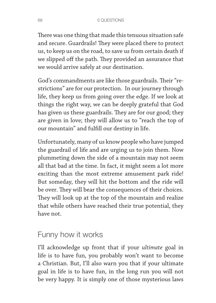There was one thing that made this tenuous situation safe and secure. Guardrails! They were placed there to protect us, to keep us on the road, to save us from certain death if we slipped off the path. They provided an assurance that we would arrive safely at our destination.

God's commandments are like those guardrails. Their "restrictions" are for our protection. In our journey through life, they keep us from going over the edge. If we look at things the right way, we can be deeply grateful that God has given us these guardrails. They are for our good; they are given in love; they will allow us to "reach the top of our mountain" and fulfill our destiny in life.

Unfortunately, many of us know people who have jumped the guardrail of life and are urging us to join them. Now plummeting down the side of a mountain may not seem all that bad at the time. In fact, it might seem a lot more exciting than the most extreme amusement park ride! But someday, they will hit the bottom and the ride will be over. They will bear the consequences of their choices. They will look up at the top of the mountain and realize that while others have reached their true potential, they have not.

#### Funny how it works

I'll acknowledge up front that if your *ultimate* goal in life is to have fun, you probably won't want to become a Christian. But, I'll also warn you that if your ultimate goal in life is to have fun, in the long run you will not be very happy. It is simply one of those mysterious laws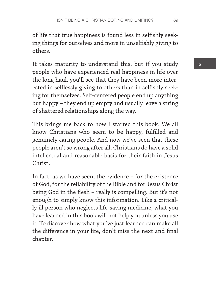of life that true happiness is found less in selfishly seeking things for ourselves and more in unselfishly giving to others.

It takes maturity to understand this, but if you study people who have experienced real happiness in life over the long haul, you'll see that they have been more interested in selflessly giving to others than in selfishly seeking for themselves. Self-centered people end up anything but happy – they end up empty and usually leave a string of shattered relationships along the way.

This brings me back to how I started this book. We all know Christians who seem to be happy, fulfilled and genuinely caring people. And now we've seen that these people aren't so wrong after all. Christians do have a solid intellectual and reasonable basis for their faith in Jesus Christ.

In fact, as we have seen, the evidence – for the existence of God, for the reliability of the Bible and for Jesus Christ being God in the flesh – really is compelling. But it's not enough to simply know this information. Like a critically ill person who neglects life-saving medicine, what you have learned in this book will not help you unless you use it. To discover how what you've just learned can make all the difference in your life, don't miss the next and final chapter.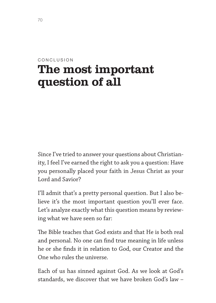# **CONCLUSION** The most important question of all

Since I've tried to answer your questions about Christianity, I feel I've earned the right to ask you a question: Have you personally placed your faith in Jesus Christ as your Lord and Savior?

I'll admit that's a pretty personal question. But I also believe it's the most important question you'll ever face. Let's analyze exactly what this question means by reviewing what we have seen so far:

The Bible teaches that God exists and that He is both real and personal. No one can find true meaning in life unless he or she finds it in relation to God, our Creator and the One who rules the universe.

Each of us has sinned against God. As we look at God's standards, we discover that we have broken God's law –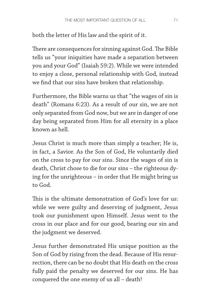both the letter of His law and the spirit of it.

There are consequences for sinning against God. The Bible tells us "your iniquities have made a separation between you and your God" (Isaiah 59:2). While we were intended to enjoy a close, personal relationship with God, instead we find that our sins have broken that relationship.

Furthermore, the Bible warns us that "the wages of sin is death" (Romans 6:23). As a result of our sin, we are not only separated from God now, but we are in danger of one day being separated from Him for all eternity in a place known as hell.

Jesus Christ is much more than simply a teacher; He is, in fact, a Savior. As the Son of God, He voluntarily died on the cross to pay for our sins. Since the wages of sin is death, Christ chose to die for our sins – the righteous dying for the unrighteous – in order that He might bring us to God.

This is the ultimate demonstration of God's love for us: while we were guilty and deserving of judgment, Jesus took our punishment upon Himself. Jesus went to the cross in our place and for our good, bearing our sin and the judgment we deserved.

Jesus further demonstrated His unique position as the Son of God by rising from the dead. Because of His resurrection, there can be no doubt that His death on the cross fully paid the penalty we deserved for our sins. He has conquered the one enemy of us all – death!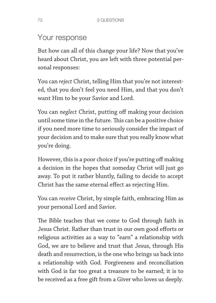#### Your response

But how can all of this change your life? Now that you've heard about Christ, you are left with three potential personal responses:

You can *reject* Christ, telling Him that you're not interested, that you don't feel you need Him, and that you don't want Him to be your Savior and Lord.

You can *neglect* Christ, putting off making your decision until some time in the future. This can be a positive choice if you need more time to seriously consider the impact of your decision and to make sure that you really know what you're doing.

However, this is a poor choice if you're putting off making a decision in the hopes that someday Christ will just go away. To put it rather bluntly, failing to decide to accept Christ has the same eternal effect as rejecting Him.

You can *receive* Christ, by simple faith, embracing Him as your personal Lord and Savior.

The Bible teaches that we come to God through faith in Jesus Christ. Rather than trust in our own good efforts or religious activities as a way to "earn" a relationship with God, we are to believe and trust that Jesus, through His death and resurrection, is the one who brings us back into a relationship with God. Forgiveness and reconciliation with God is far too great a treasure to be earned; it is to be received as a free gift from a Giver who loves us deeply.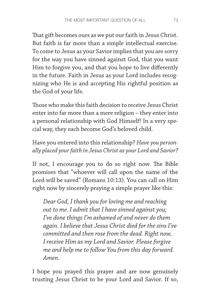That gift becomes ours as we put our faith in Jesus Christ. But faith is far more than a simple intellectual exercise. To come to Jesus as your Savior implies that you are sorry for the way you have sinned against God, that you want Him to forgive you, and that you hope to live differently in the future. Faith in Jesus as your Lord includes recognizing who He is and accepting His rightful position as the God of your life.

Those who make this faith decision to receive Jesus Christ enter into far more than a mere religion – they enter into a personal relationship with God Himself! In a very special way, they each become God's beloved child.

Have you entered into this relationship? *Have you personally placed your faith in Jesus Christ as your Lord and Savior?*

If not, I encourage you to do so right now. The Bible promises that "whoever will call upon the name of the Lord will be saved" (Romans 10:13). You can call on Him right now by sincerely praying a simple prayer like this:

*Dear God, I thank you for loving me and reaching out to me. I admit that I have sinned against you; I've done things I'm ashamed of and never do them again. I believe that Jesus Christ died for the sins I've committed and then rose from the dead. Right now, I receive Him as my Lord and Savior. Please forgive me and help me to follow You from this day forward. Amen.* 

I hope you prayed this prayer and are now genuinely trusting Jesus Christ to be your Lord and Savior. If so,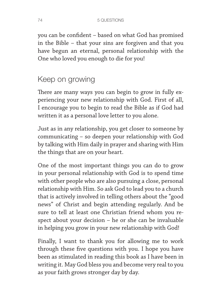you can be confident – based on what God has promised in the Bible – that your sins are forgiven and that you have begun an eternal, personal relationship with the One who loved you enough to die for you!

## Keep on growing

There are many ways you can begin to grow in fully experiencing your new relationship with God. First of all, I encourage you to begin to read the Bible as if God had written it as a personal love letter to you alone.

Just as in any relationship, you get closer to someone by communicating – so deepen your relationship with God by talking with Him daily in prayer and sharing with Him the things that are on your heart.

One of the most important things you can do to grow in your personal relationship with God is to spend time with other people who are also pursuing a close, personal relationship with Him. So ask God to lead you to a church that is actively involved in telling others about the "good news" of Christ and begin attending regularly. And be sure to tell at least one Christian friend whom you respect about your decision – he or she can be invaluable in helping you grow in your new relationship with God!

Finally, I want to thank you for allowing me to work through these five questions with you. I hope you have been as stimulated in reading this book as I have been in writing it. May God bless you and become very real to you as your faith grows stronger day by day.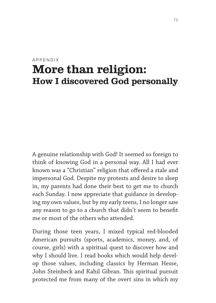## APPENDIX More than religion: How I discovered God personally

A genuine relationship with God! It seemed so foreign to think of knowing God in a personal way. All I had ever known was a "Christian" religion that offered a stale and impersonal God. Despite my protests and desire to sleep in, my parents had done their best to get me to church each Sunday. I now appreciate that guidance in developing my own values, but by my early teens, I no longer saw any reason to go to a church that didn't seem to benefit me or most of the others who attended.

During those teen years, I mixed typical red-blooded American pursuits (sports, academics, money, and, of course, girls) with a spiritual quest to discover how and why I should live. I read books which would help develop those values, including classics by Herman Hesse, John Steinbeck and Kahil Gibran. This spiritual pursuit protected me from many of the overt sins in which my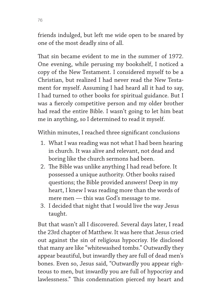friends indulged, but left me wide open to be snared by one of the most deadly sins of all.

That sin became evident to me in the summer of 1972. One evening, while perusing my bookshelf, I noticed a copy of the New Testament. I considered myself to be a Christian, but realized I had never read the New Testament for myself. Assuming I had heard all it had to say, I had turned to other books for spiritual guidance. But I was a fiercely competitive person and my older brother had read the entire Bible. I wasn't going to let him beat me in anything, so I determined to read it myself.

Within minutes, I reached three significant conclusions

- 1. What I was reading was not what I had been hearing in church. It was alive and relevant, not dead and boring like the church sermons had been.
- 2. The Bible was unlike anything I had read before. It possessed a unique authority. Other books raised questions; the Bible provided answers! Deep in my heart, I knew I was reading more than the words of mere men — this was God's message to me.
- 3. I decided that night that I would live the way Jesus taught.

But that wasn't all I discovered. Several days later, I read the 23rd chapter of Matthew. It was here that Jesus cried out against the sin of religious hypocrisy. He disclosed that many are like "whitewashed tombs." Outwardly they appear beautiful, but inwardly they are full of dead men's bones. Even so, Jesus said, "Outwardly you appear righteous to men, but inwardly you are full of hypocrisy and lawlessness." This condemnation pierced my heart and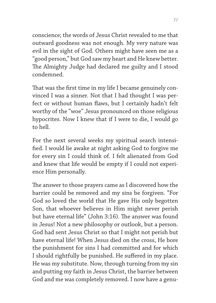conscience; the words of Jesus Christ revealed to me that outward goodness was not enough. My very nature was evil in the sight of God. Others might have seen me as a "good person," but God saw my heart and He knew better. The Almighty Judge had declared me guilty and I stood condemned.

That was the first time in my life I became genuinely convinced I was a sinner. Not that I had thought I was perfect or without human flaws, but I certainly hadn't felt worthy of the "woe" Jesus pronounced on those religious hypocrites. Now I knew that if I were to die, I would go to hell.

For the next several weeks my spiritual search intensified. I would lie awake at night asking God to forgive me for every sin I could think of. I felt alienated from God and knew that life would be empty if I could not experience Him personally.

The answer to those prayers came as I discovered how the barrier could be removed and my sins be forgiven. "For God so loved the world that He gave His only begotten Son, that whoever believes in Him might never perish but have eternal life" (John 3:16). The answer was found in Jesus! Not a new philosophy or outlook, but a person. God had sent Jesus Christ so that I might not perish but have eternal life! When Jesus died on the cross, He bore the punishment for sins I had committed and for which I should rightfully be punished. He suffered in my place. He was my substitute. Now, through turning from my sin and putting my faith in Jesus Christ, the barrier between God and me was completely removed. I now have a genu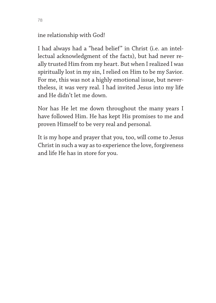ine relationship with God!

I had always had a "head belief" in Christ (i.e. an intellectual acknowledgment of the facts), but had never really trusted Him from my heart. But when I realized I was spiritually lost in my sin, I relied on Him to be my Savior. For me, this was not a highly emotional issue, but nevertheless, it was very real. I had invited Jesus into my life and He didn't let me down.

Nor has He let me down throughout the many years I have followed Him. He has kept His promises to me and proven Himself to be very real and personal.

It is my hope and prayer that you, too, will come to Jesus Christ in such a way as to experience the love, forgiveness and life He has in store for you.